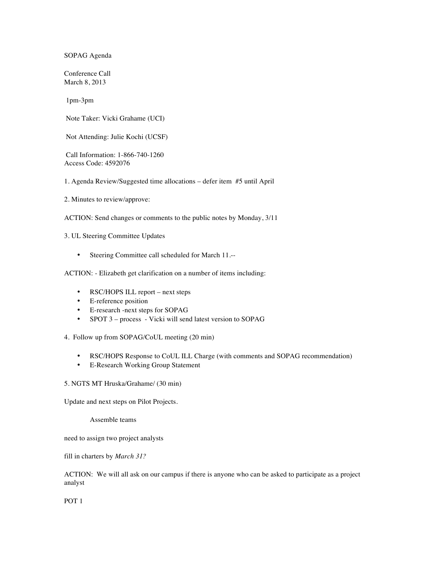SOPAG Agenda

Conference Call March 8, 2013

1pm-3pm

Note Taker: Vicki Grahame (UCI)

Not Attending: Julie Kochi (UCSF)

Call Information: 1-866-740-1260 Access Code: 4592076

1. Agenda Review/Suggested time allocations – defer item #5 until April

2. Minutes to review/approve:

ACTION: Send changes or comments to the public notes by Monday, 3/11

3. UL Steering Committee Updates

• Steering Committee call scheduled for March 11.--

ACTION: - Elizabeth get clarification on a number of items including:

- RSC/HOPS ILL report next steps
- E-reference position
- E-research -next steps for SOPAG
- SPOT 3 process Vicki will send latest version to SOPAG

4. Follow up from SOPAG/CoUL meeting (20 min)

- RSC/HOPS Response to CoUL ILL Charge (with comments and SOPAG recommendation)
- E-Research Working Group Statement

## 5. NGTS MT Hruska/Grahame/ (30 min)

Update and next steps on Pilot Projects.

Assemble teams

need to assign two project analysts

fill in charters by *March 31?*

ACTION: We will all ask on our campus if there is anyone who can be asked to participate as a project analyst

POT 1